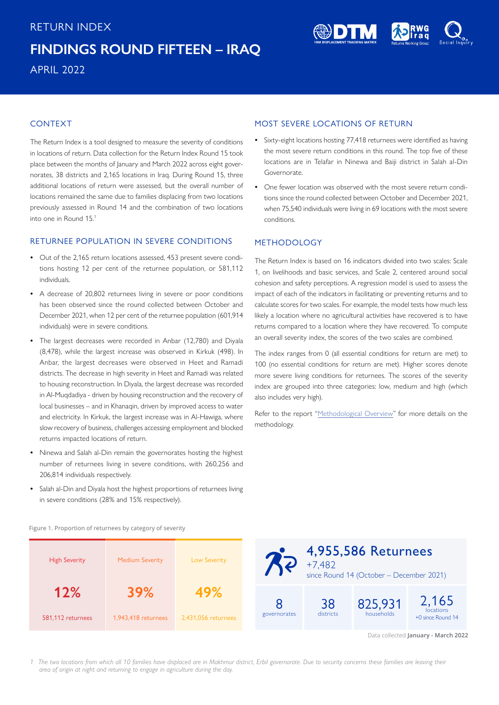

# **CONTEXT**

The Return Index is a tool designed to measure the severity of conditions in locations of return. Data collection for the Return Index Round 15 took place between the months of January and March 2022 across eight governorates, 38 districts and 2,165 locations in Iraq. During Round 15, three additional locations of return were assessed, but the overall number of locations remained the same due to families displacing from two locations previously assessed in Round 14 and the combination of two locations into one in Round 15.1

## RETURNEE POPULATION IN SEVERE CONDITIONS

- **•** Out of the 2,165 return locations assessed, 453 present severe conditions hosting 12 per cent of the returnee population, or 581,112 individuals.
- **•** A decrease of 20,802 returnees living in severe or poor conditions has been observed since the round collected between October and December 2021, when 12 per cent of the returnee population (601,914 individuals) were in severe conditions.
- **•** The largest decreases were recorded in Anbar (12,780) and Diyala (8,478), while the largest increase was observed in Kirkuk (498). In Anbar, the largest decreases were observed in Heet and Ramadi districts. The decrease in high severity in Heet and Ramadi was related to housing reconstruction. In Diyala, the largest decrease was recorded in Al-Muqdadiya - driven by housing reconstruction and the recovery of local businesses – and in Khanaqin, driven by improved access to water and electricity. In Kirkuk, the largest increase was in Al-Hawiga, where slow recovery of business, challenges accessing employment and blocked returns impacted locations of return.
- **•** Ninewa and Salah al-Din remain the governorates hosting the highest number of returnees living in severe conditions, with 260,256 and 206,814 individuals respectively.
- **•** Salah al-Din and Diyala host the highest proportions of returnees living in severe conditions (28% and 15% respectively).

# MOST SEVERE LOCATIONS OF RETURN

- **•** Sixty-eight locations hosting 77,418 returnees were identified as having the most severe return conditions in this round. The top five of these locations are in Telafar in Ninewa and Baiji district in Salah al-Din Governorate.
- **•** One fewer location was observed with the most severe return conditions since the round collected between October and December 2021, when 75,540 individuals were living in 69 locations with the most severe conditions.

# METHODOLOGY

The Return Index is based on 16 indicators divided into two scales: Scale 1, on livelihoods and basic services, and Scale 2, centered around social cohesion and safety perceptions. A regression model is used to assess the impact of each of the indicators in facilitating or preventing returns and to calculate scores for two scales. For example, the model tests how much less likely a location where no agricultural activities have recovered is to have returns compared to a location where they have recovered. To compute an overall severity index, the scores of the two scales are combined.

The index ranges from 0 (all essential conditions for return are met) to 100 (no essential conditions for return are met). Higher scores denote more severe living conditions for returnees. The scores of the severity index are grouped into three categories: low, medium and high (which also includes very high).

Refer to the report "[Methodological Overview](http://iraqdtm.iom.int/images/ReturnIndex/iom_dtm_Methodological_Overview_May_2020.pdf)" for more details on the methodology.



Figure 1. Proportion of returnees by category of severity

1 The two locations from which all 10 families have displaced are in Makhmur district, Erbil governorate. Due to security concerns these families are leaving their *area of origin at night and returning to engage in agriculture during the day.*